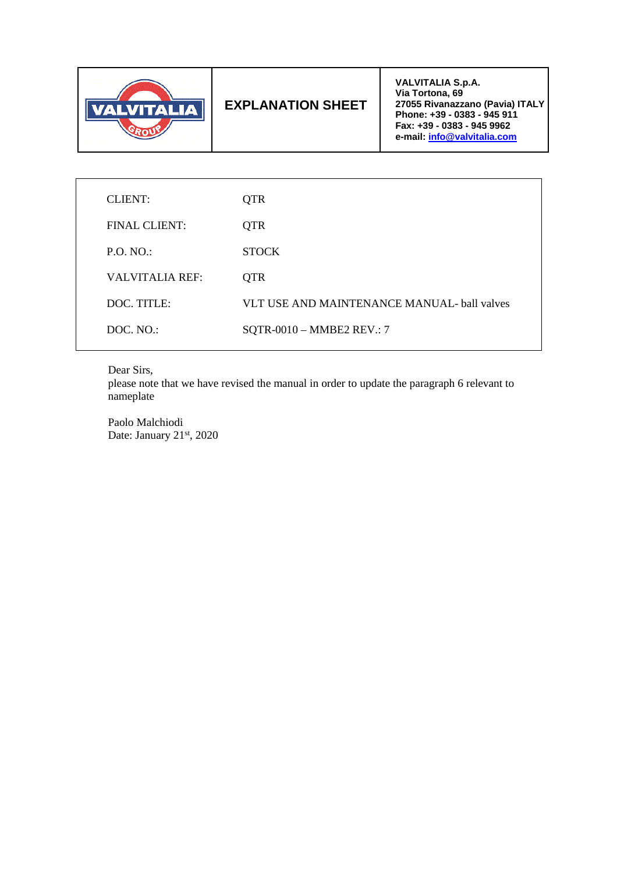

# **EXPLANATION SHEET**

**VALVITALIA S.p.A. Via Tortona, 69 27055 Rivanazzano (Pavia) ITALY Phone: +39 - 0383 - 945 911 Fax: +39 - 0383 - 945 9962 e-mail: info@valvitalia.com**

| CLIENT:         | <b>QTR</b>                                  |
|-----------------|---------------------------------------------|
| FINAL CLIENT:   | <b>QTR</b>                                  |
| P.O. NO.        | <b>STOCK</b>                                |
| VALVITALIA REF: | <b>OTR</b>                                  |
| DOC. TITLE:     | VLT USE AND MAINTENANCE MANUAL- ball valves |
| DOC, NO.        | SQTR-0010 - MMBE2 REV.: 7                   |
|                 |                                             |

Dear Sirs,

please note that we have revised the manual in order to update the paragraph 6 relevant to nameplate

Paolo Malchiodi Date: January 21st, 2020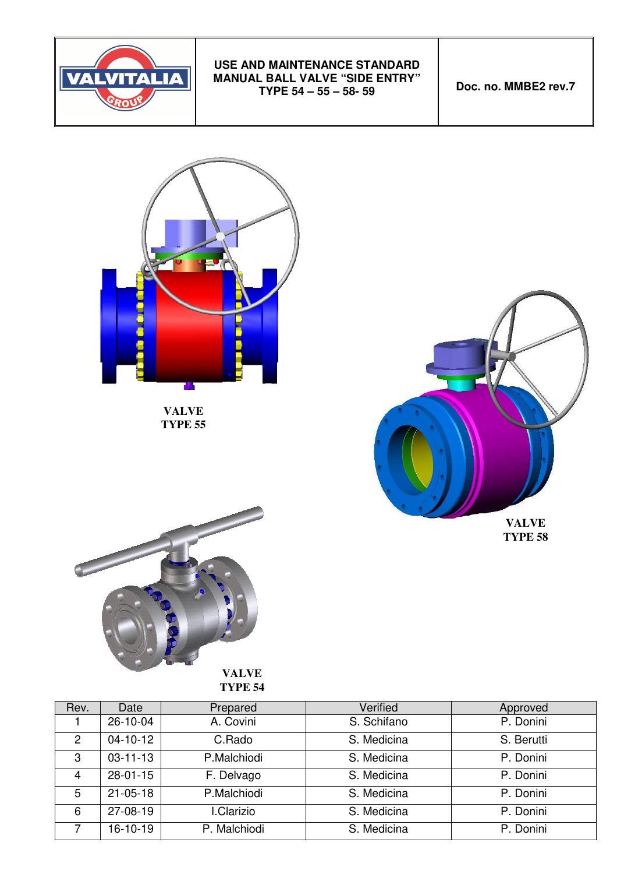

**Doc. no. MMBE2 rev.7** 



**TYPE 55**





**VALVE TYPE 54**

| Rev. | Date           | Prepared     | Verified    | Approved   |
|------|----------------|--------------|-------------|------------|
|      | 26-10-04       | A. Covini    | S. Schifano | P. Donini  |
| 2    | $04 - 10 - 12$ | C.Rado       | S. Medicina | S. Berutti |
| 3    | $03 - 11 - 13$ | P.Malchiodi  | S. Medicina | P. Donini  |
| 4    | $28 - 01 - 15$ | F. Delvago   | S. Medicina | P. Donini  |
| 5    | $21 - 05 - 18$ | P.Malchiodi  | S. Medicina | P. Donini  |
| 6    | 27-08-19       | I.Clarizio   | S. Medicina | P. Donini  |
|      | 16-10-19       | P. Malchiodi | S. Medicina | P. Donini  |
|      |                |              |             |            |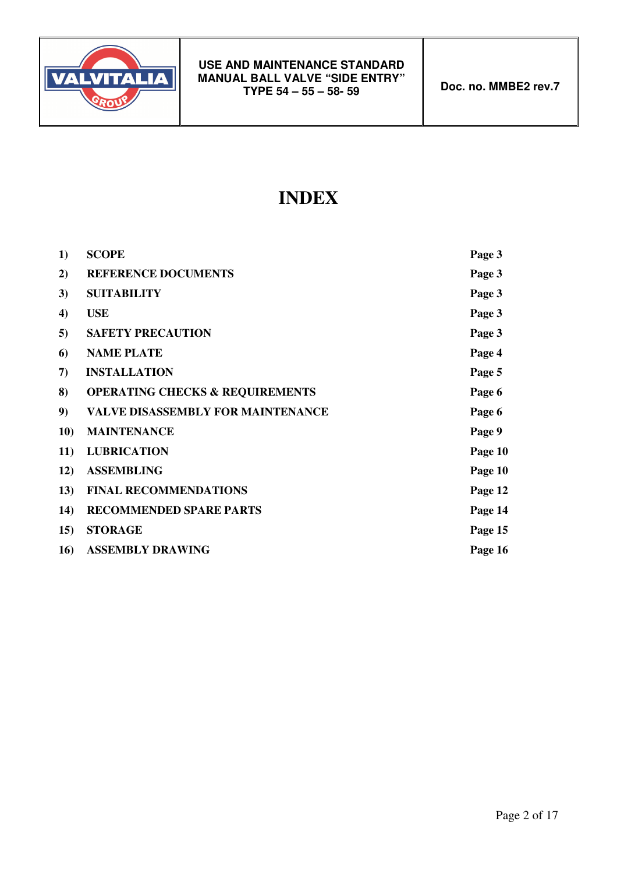

# **INDEX**

| 1)  | <b>SCOPE</b>                               | Page 3  |
|-----|--------------------------------------------|---------|
| 2)  | <b>REFERENCE DOCUMENTS</b>                 | Page 3  |
| 3)  | <b>SUITABILITY</b>                         | Page 3  |
| 4)  | <b>USE</b>                                 | Page 3  |
| 5)  | <b>SAFETY PRECAUTION</b>                   | Page 3  |
| 6)  | <b>NAME PLATE</b>                          | Page 4  |
| 7)  | <b>INSTALLATION</b>                        | Page 5  |
| 8)  | <b>OPERATING CHECKS &amp; REQUIREMENTS</b> | Page 6  |
| 9)  | <b>VALVE DISASSEMBLY FOR MAINTENANCE</b>   | Page 6  |
| 10) | <b>MAINTENANCE</b>                         | Page 9  |
| 11) | <b>LUBRICATION</b>                         | Page 10 |
| 12) | <b>ASSEMBLING</b>                          | Page 10 |
| 13) | <b>FINAL RECOMMENDATIONS</b>               | Page 12 |
| 14) | <b>RECOMMENDED SPARE PARTS</b>             | Page 14 |
| 15) | <b>STORAGE</b>                             | Page 15 |
| 16) | <b>ASSEMBLY DRAWING</b>                    | Page 16 |
|     |                                            |         |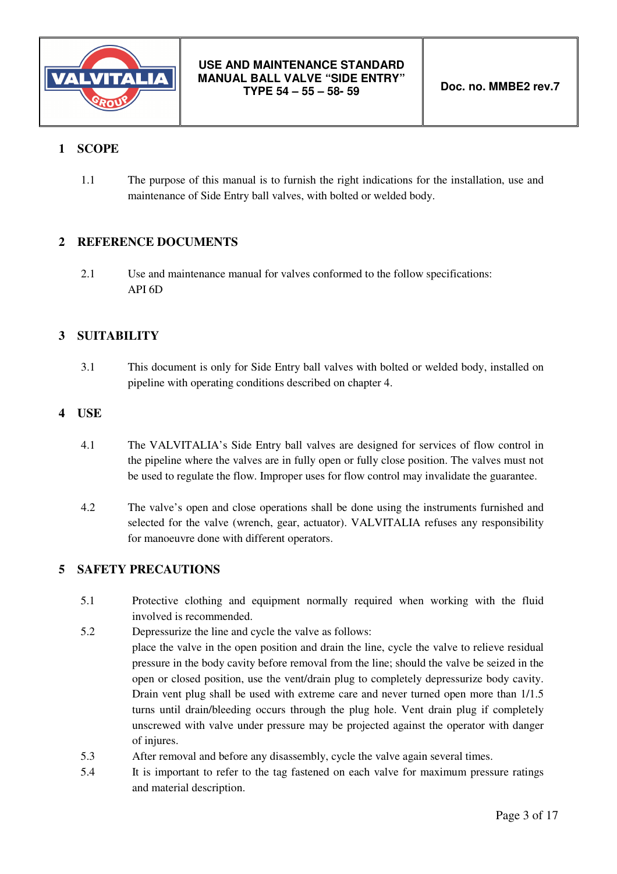

# **1 SCOPE**

1.1 The purpose of this manual is to furnish the right indications for the installation, use and maintenance of Side Entry ball valves, with bolted or welded body.

# **2 REFERENCE DOCUMENTS**

2.1 Use and maintenance manual for valves conformed to the follow specifications: API 6D

# **3 SUITABILITY**

3.1 This document is only for Side Entry ball valves with bolted or welded body, installed on pipeline with operating conditions described on chapter 4.

## **4 USE**

- 4.1 The VALVITALIA's Side Entry ball valves are designed for services of flow control in the pipeline where the valves are in fully open or fully close position. The valves must not be used to regulate the flow. Improper uses for flow control may invalidate the guarantee.
- 4.2 The valve's open and close operations shall be done using the instruments furnished and selected for the valve (wrench, gear, actuator). VALVITALIA refuses any responsibility for manoeuvre done with different operators.

# **5 SAFETY PRECAUTIONS**

- 5.1 Protective clothing and equipment normally required when working with the fluid involved is recommended.
- 5.2 Depressurize the line and cycle the valve as follows: place the valve in the open position and drain the line, cycle the valve to relieve residual pressure in the body cavity before removal from the line; should the valve be seized in the open or closed position, use the vent/drain plug to completely depressurize body cavity. Drain vent plug shall be used with extreme care and never turned open more than 1/1.5 turns until drain/bleeding occurs through the plug hole. Vent drain plug if completely unscrewed with valve under pressure may be projected against the operator with danger of injures.
- 5.3 After removal and before any disassembly, cycle the valve again several times.
- 5.4 It is important to refer to the tag fastened on each valve for maximum pressure ratings and material description.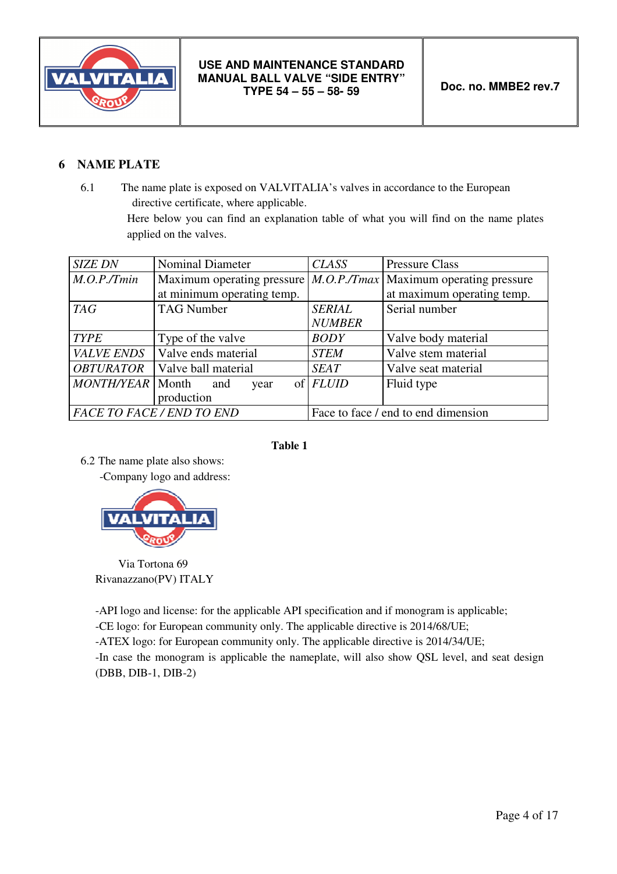

# **6 NAME PLATE**

6.1 The name plate is exposed on VALVITALIA's valves in accordance to the European directive certificate, where applicable.

> Here below you can find an explanation table of what you will find on the name plates applied on the valves.

| <b>SIZE DN</b>         | <b>Nominal Diameter</b>    | <b>CLASS</b>      | <b>Pressure Class</b>                                                 |
|------------------------|----------------------------|-------------------|-----------------------------------------------------------------------|
| M.O.P./ Tmin           |                            |                   | Maximum operating pressure $ M.O.P./Tmax $ Maximum operating pressure |
|                        | at minimum operating temp. |                   | at maximum operating temp.                                            |
| <b>TAG</b>             | <b>TAG Number</b>          | <b>SERIAL</b>     | Serial number                                                         |
|                        |                            | <b>NUMBER</b>     |                                                                       |
| <b>TYPE</b>            | Type of the valve          | <b>BODY</b>       | Valve body material                                                   |
| <b>VALVE ENDS</b>      | Valve ends material        | <b>STEM</b>       | Valve stem material                                                   |
| <b>OBTURATOR</b>       | Valve ball material        | <b>SEAT</b>       | Valve seat material                                                   |
| MONTH/YEAR   Month and | year                       | $of$ <i>FLUID</i> | Fluid type                                                            |
|                        | production                 |                   |                                                                       |
|                        | FACE TO FACE / END TO END  |                   | Face to face / end to end dimension                                   |

#### **Table 1**

6.2 The name plate also shows: -Company logo and address:



 Via Tortona 69 Rivanazzano(PV) ITALY

-API logo and license: for the applicable API specification and if monogram is applicable;

-CE logo: for European community only. The applicable directive is 2014/68/UE;

-ATEX logo: for European community only. The applicable directive is 2014/34/UE;

-In case the monogram is applicable the nameplate, will also show QSL level, and seat design (DBB, DIB-1, DIB-2)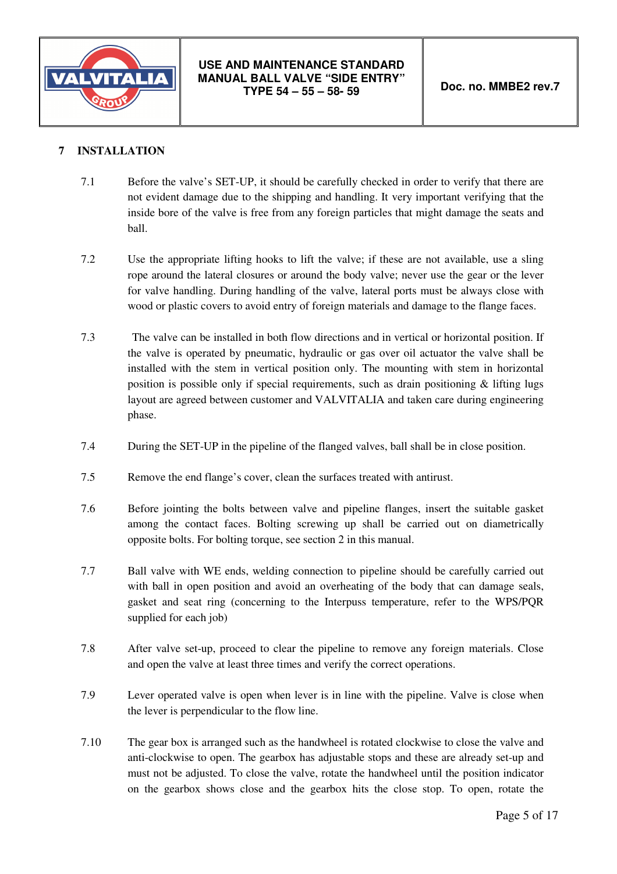

# **7 INSTALLATION**

- 7.1 Before the valve's SET-UP, it should be carefully checked in order to verify that there are not evident damage due to the shipping and handling. It very important verifying that the inside bore of the valve is free from any foreign particles that might damage the seats and ball.
- 7.2 Use the appropriate lifting hooks to lift the valve; if these are not available, use a sling rope around the lateral closures or around the body valve; never use the gear or the lever for valve handling. During handling of the valve, lateral ports must be always close with wood or plastic covers to avoid entry of foreign materials and damage to the flange faces.
- 7.3 The valve can be installed in both flow directions and in vertical or horizontal position. If the valve is operated by pneumatic, hydraulic or gas over oil actuator the valve shall be installed with the stem in vertical position only. The mounting with stem in horizontal position is possible only if special requirements, such as drain positioning & lifting lugs layout are agreed between customer and VALVITALIA and taken care during engineering phase.
- 7.4 During the SET-UP in the pipeline of the flanged valves, ball shall be in close position.
- 7.5 Remove the end flange's cover, clean the surfaces treated with antirust.
- 7.6 Before jointing the bolts between valve and pipeline flanges, insert the suitable gasket among the contact faces. Bolting screwing up shall be carried out on diametrically opposite bolts. For bolting torque, see section 2 in this manual.
- 7.7 Ball valve with WE ends, welding connection to pipeline should be carefully carried out with ball in open position and avoid an overheating of the body that can damage seals, gasket and seat ring (concerning to the Interpuss temperature, refer to the WPS/PQR supplied for each job)
- 7.8 After valve set-up, proceed to clear the pipeline to remove any foreign materials. Close and open the valve at least three times and verify the correct operations.
- 7.9 Lever operated valve is open when lever is in line with the pipeline. Valve is close when the lever is perpendicular to the flow line.
- 7.10 The gear box is arranged such as the handwheel is rotated clockwise to close the valve and anti-clockwise to open. The gearbox has adjustable stops and these are already set-up and must not be adjusted. To close the valve, rotate the handwheel until the position indicator on the gearbox shows close and the gearbox hits the close stop. To open, rotate the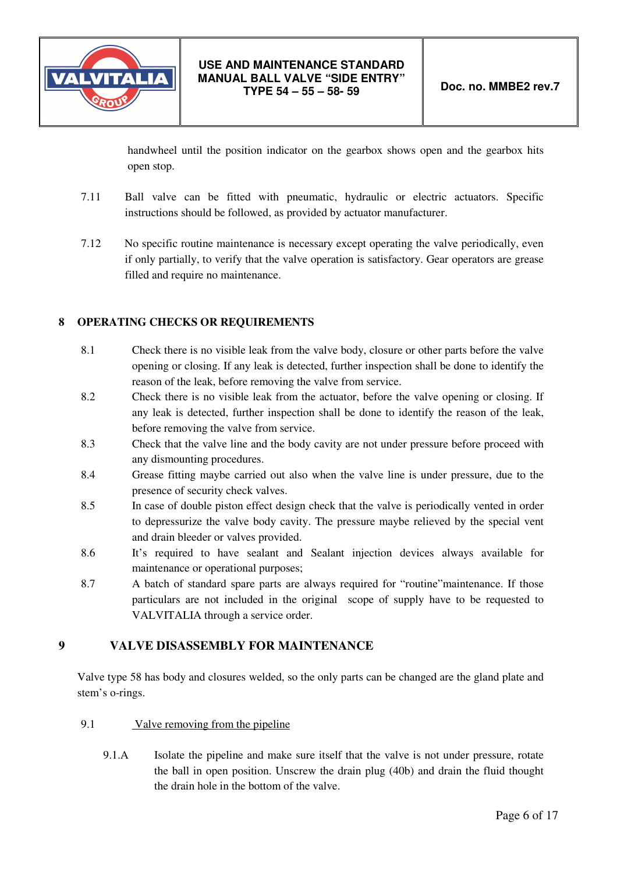

handwheel until the position indicator on the gearbox shows open and the gearbox hits open stop.

- 7.11 Ball valve can be fitted with pneumatic, hydraulic or electric actuators. Specific instructions should be followed, as provided by actuator manufacturer.
- 7.12 No specific routine maintenance is necessary except operating the valve periodically, even if only partially, to verify that the valve operation is satisfactory. Gear operators are grease filled and require no maintenance.

## **8 OPERATING CHECKS OR REQUIREMENTS**

- 8.1 Check there is no visible leak from the valve body, closure or other parts before the valve opening or closing. If any leak is detected, further inspection shall be done to identify the reason of the leak, before removing the valve from service.
- 8.2 Check there is no visible leak from the actuator, before the valve opening or closing. If any leak is detected, further inspection shall be done to identify the reason of the leak, before removing the valve from service.
- 8.3 Check that the valve line and the body cavity are not under pressure before proceed with any dismounting procedures.
- 8.4 Grease fitting maybe carried out also when the valve line is under pressure, due to the presence of security check valves.
- 8.5 In case of double piston effect design check that the valve is periodically vented in order to depressurize the valve body cavity. The pressure maybe relieved by the special vent and drain bleeder or valves provided.
- 8.6 It's required to have sealant and Sealant injection devices always available for maintenance or operational purposes;
- 8.7 A batch of standard spare parts are always required for "routine"maintenance. If those particulars are not included in the original scope of supply have to be requested to VALVITALIA through a service order.

# **9 VALVE DISASSEMBLY FOR MAINTENANCE**

Valve type 58 has body and closures welded, so the only parts can be changed are the gland plate and stem's o-rings.

- 9.1 Valve removing from the pipeline
	- 9.1.A Isolate the pipeline and make sure itself that the valve is not under pressure, rotate the ball in open position. Unscrew the drain plug (40b) and drain the fluid thought the drain hole in the bottom of the valve.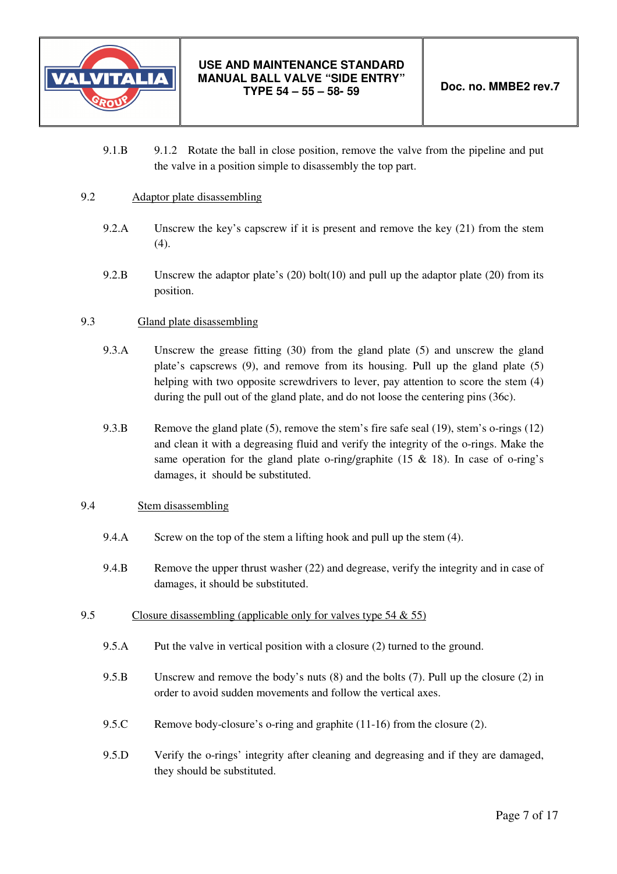

9.1.B 9.1.2 Rotate the ball in close position, remove the valve from the pipeline and put the valve in a position simple to disassembly the top part.

#### 9.2 Adaptor plate disassembling

- 9.2.A Unscrew the key's capscrew if it is present and remove the key (21) from the stem (4).
- 9.2.B Unscrew the adaptor plate's (20) bolt(10) and pull up the adaptor plate (20) from its position.

#### 9.3 Gland plate disassembling

- 9.3.A Unscrew the grease fitting (30) from the gland plate (5) and unscrew the gland plate's capscrews (9), and remove from its housing. Pull up the gland plate (5) helping with two opposite screwdrivers to lever, pay attention to score the stem (4) during the pull out of the gland plate, and do not loose the centering pins (36c).
- 9.3.B Remove the gland plate (5), remove the stem's fire safe seal (19), stem's o-rings (12) and clean it with a degreasing fluid and verify the integrity of the o-rings. Make the same operation for the gland plate o-ring/graphite (15  $\&$  18). In case of o-ring's damages, it should be substituted.

#### 9.4 Stem disassembling

- 9.4.A Screw on the top of the stem a lifting hook and pull up the stem (4).
- 9.4.B Remove the upper thrust washer (22) and degrease, verify the integrity and in case of damages, it should be substituted.
- 9.5 Closure disassembling (applicable only for valves type 54 & 55)
	- 9.5.A Put the valve in vertical position with a closure (2) turned to the ground.
	- 9.5.B Unscrew and remove the body's nuts (8) and the bolts (7). Pull up the closure (2) in order to avoid sudden movements and follow the vertical axes.
	- 9.5.C Remove body-closure's o-ring and graphite (11-16) from the closure (2).
	- 9.5.D Verify the o-rings' integrity after cleaning and degreasing and if they are damaged, they should be substituted.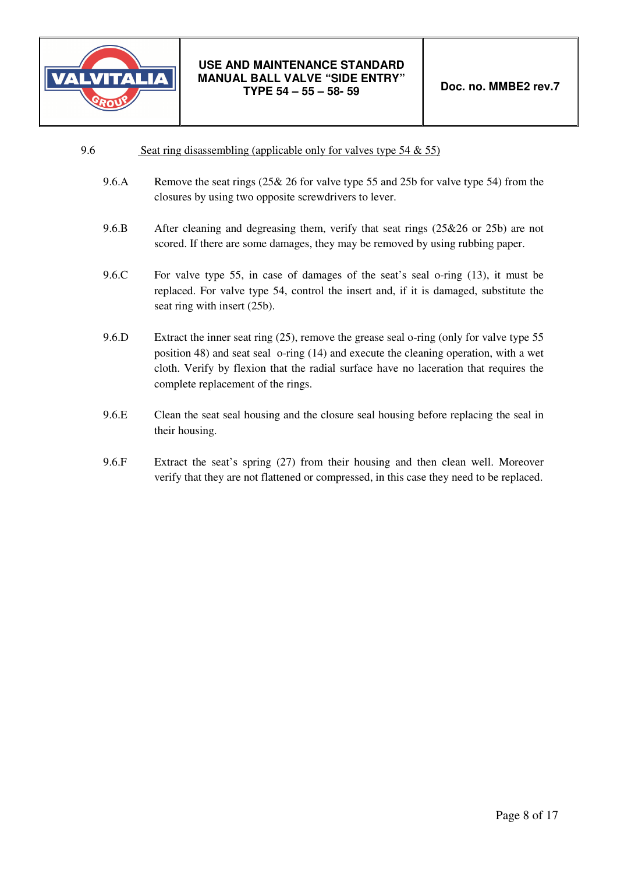

| 9.6 |  | Seat ring disassembling (applicable only for valves type $54 \& 55$ ) |  |
|-----|--|-----------------------------------------------------------------------|--|
|     |  |                                                                       |  |

- 9.6.A Remove the seat rings (25& 26 for valve type 55 and 25b for valve type 54) from the closures by using two opposite screwdrivers to lever.
- 9.6.B After cleaning and degreasing them, verify that seat rings (25&26 or 25b) are not scored. If there are some damages, they may be removed by using rubbing paper.
- 9.6.C For valve type 55, in case of damages of the seat's seal o-ring (13), it must be replaced. For valve type 54, control the insert and, if it is damaged, substitute the seat ring with insert (25b).
- 9.6.D Extract the inner seat ring (25), remove the grease seal o-ring (only for valve type 55 position 48) and seat seal o-ring (14) and execute the cleaning operation, with a wet cloth. Verify by flexion that the radial surface have no laceration that requires the complete replacement of the rings.
- 9.6.E Clean the seat seal housing and the closure seal housing before replacing the seal in their housing.
- 9.6.F Extract the seat's spring (27) from their housing and then clean well. Moreover verify that they are not flattened or compressed, in this case they need to be replaced.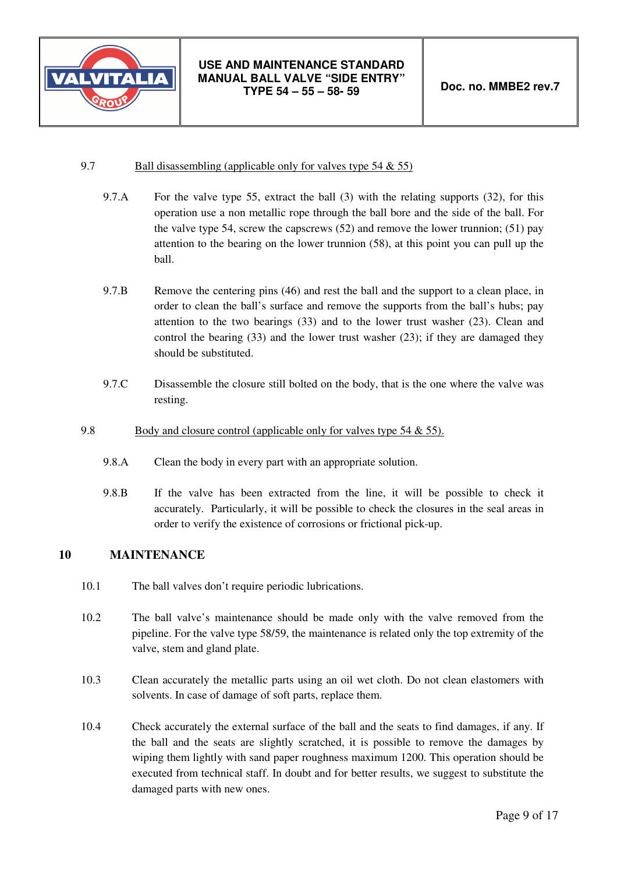

#### 9.7 Ball disassembling (applicable only for valves type 54 & 55)

- 9.7.A For the valve type 55, extract the ball (3) with the relating supports (32), for this operation use a non metallic rope through the ball bore and the side of the ball. For the valve type 54, screw the capscrews (52) and remove the lower trunnion; (51) pay attention to the bearing on the lower trunnion (58), at this point you can pull up the ball.
- 9.7.B Remove the centering pins (46) and rest the ball and the support to a clean place, in order to clean the ball's surface and remove the supports from the ball's hubs; pay attention to the two bearings (33) and to the lower trust washer (23). Clean and control the bearing (33) and the lower trust washer (23); if they are damaged they should be substituted.
- 9.7.C Disassemble the closure still bolted on the body, that is the one where the valve was resting.

#### 9.8 Body and closure control (applicable only for valves type 54 & 55).

- 9.8.A Clean the body in every part with an appropriate solution.
- 9.8.B If the valve has been extracted from the line, it will be possible to check it accurately. Particularly, it will be possible to check the closures in the seal areas in order to verify the existence of corrosions or frictional pick-up.

## **10 MAINTENANCE**

- 10.1 The ball valves don't require periodic lubrications.
- 10.2 The ball valve's maintenance should be made only with the valve removed from the pipeline. For the valve type 58/59, the maintenance is related only the top extremity of the valve, stem and gland plate.
- 10.3 Clean accurately the metallic parts using an oil wet cloth. Do not clean elastomers with solvents. In case of damage of soft parts, replace them.
- 10.4 Check accurately the external surface of the ball and the seats to find damages, if any. If the ball and the seats are slightly scratched, it is possible to remove the damages by wiping them lightly with sand paper roughness maximum 1200. This operation should be executed from technical staff. In doubt and for better results, we suggest to substitute the damaged parts with new ones.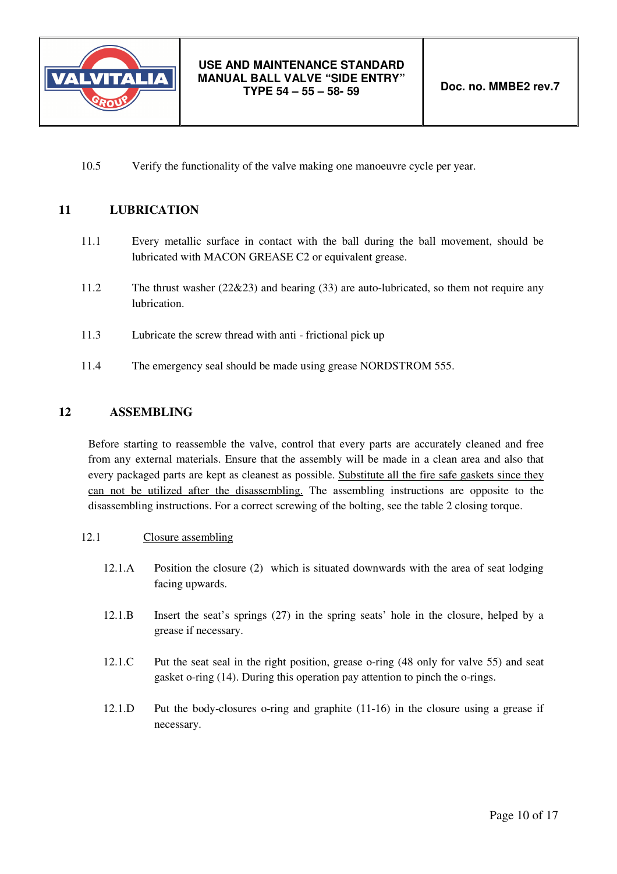

10.5 Verify the functionality of the valve making one manoeuvre cycle per year.

## **11 LUBRICATION**

- 11.1 Every metallic surface in contact with the ball during the ball movement, should be lubricated with MACON GREASE C2 or equivalent grease.
- 11.2 The thrust washer (22&23) and bearing (33) are auto-lubricated, so them not require any lubrication.
- 11.3 Lubricate the screw thread with anti frictional pick up
- 11.4 The emergency seal should be made using grease NORDSTROM 555.

#### **12 ASSEMBLING**

Before starting to reassemble the valve, control that every parts are accurately cleaned and free from any external materials. Ensure that the assembly will be made in a clean area and also that every packaged parts are kept as cleanest as possible. Substitute all the fire safe gaskets since they can not be utilized after the disassembling. The assembling instructions are opposite to the disassembling instructions. For a correct screwing of the bolting, see the table 2 closing torque.

#### 12.1 Closure assembling

- 12.1.A Position the closure (2) which is situated downwards with the area of seat lodging facing upwards.
- 12.1.B Insert the seat's springs (27) in the spring seats' hole in the closure, helped by a grease if necessary.
- 12.1.C Put the seat seal in the right position, grease o-ring (48 only for valve 55) and seat gasket o-ring (14). During this operation pay attention to pinch the o-rings.
- 12.1.D Put the body-closures o-ring and graphite (11-16) in the closure using a grease if necessary.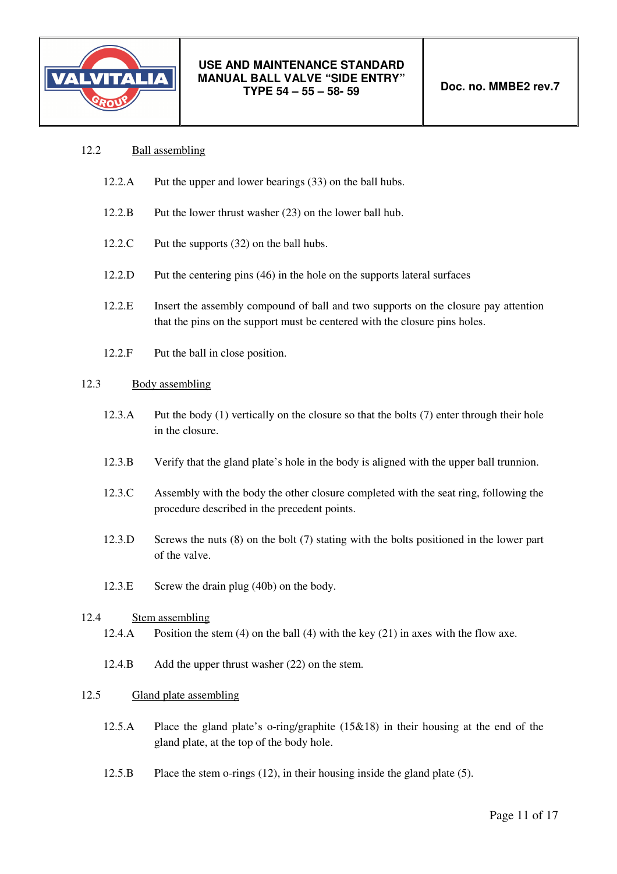

- 12.2 Ball assembling
	- 12.2.A Put the upper and lower bearings (33) on the ball hubs.
	- 12.2.B Put the lower thrust washer (23) on the lower ball hub.
	- 12.2.C Put the supports (32) on the ball hubs.
	- 12.2.D Put the centering pins (46) in the hole on the supports lateral surfaces
	- 12.2.E Insert the assembly compound of ball and two supports on the closure pay attention that the pins on the support must be centered with the closure pins holes.
	- 12.2.F Put the ball in close position.

#### 12.3 Body assembling

- 12.3.A Put the body (1) vertically on the closure so that the bolts (7) enter through their hole in the closure.
- 12.3.B Verify that the gland plate's hole in the body is aligned with the upper ball trunnion.
- 12.3.C Assembly with the body the other closure completed with the seat ring, following the procedure described in the precedent points.
- 12.3.D Screws the nuts (8) on the bolt (7) stating with the bolts positioned in the lower part of the valve.
- 12.3.E Screw the drain plug (40b) on the body.

#### 12.4 Stem assembling

- 12.4.A Position the stem (4) on the ball (4) with the key (21) in axes with the flow axe.
- 12.4.B Add the upper thrust washer (22) on the stem.

#### 12.5 Gland plate assembling

- 12.5.A Place the gland plate's o-ring/graphite (15&18) in their housing at the end of the gland plate, at the top of the body hole.
- 12.5.B Place the stem o-rings (12), in their housing inside the gland plate (5).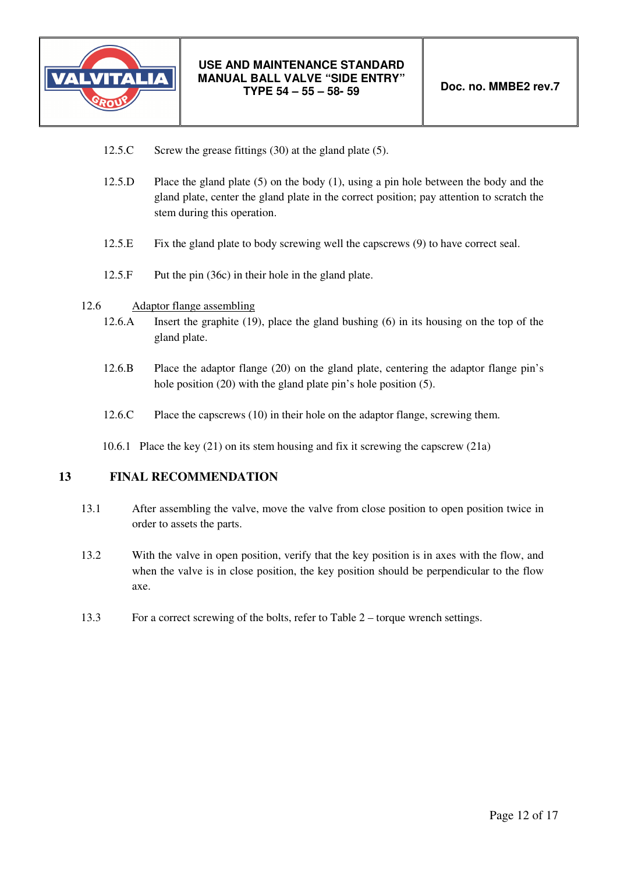

- 12.5.C Screw the grease fittings (30) at the gland plate (5).
- 12.5.D Place the gland plate (5) on the body (1), using a pin hole between the body and the gland plate, center the gland plate in the correct position; pay attention to scratch the stem during this operation.
- 12.5.E Fix the gland plate to body screwing well the capscrews (9) to have correct seal.
- 12.5.F Put the pin (36c) in their hole in the gland plate.
- 12.6 Adaptor flange assembling
	- 12.6.A Insert the graphite (19), place the gland bushing (6) in its housing on the top of the gland plate.
	- 12.6.B Place the adaptor flange (20) on the gland plate, centering the adaptor flange pin's hole position (20) with the gland plate pin's hole position (5).
	- 12.6.C Place the capscrews (10) in their hole on the adaptor flange, screwing them.
	- 10.6.1 Place the key (21) on its stem housing and fix it screwing the capscrew (21a)

# **13 FINAL RECOMMENDATION**

- 13.1 After assembling the valve, move the valve from close position to open position twice in order to assets the parts.
- 13.2 With the valve in open position, verify that the key position is in axes with the flow, and when the valve is in close position, the key position should be perpendicular to the flow axe.
- 13.3 For a correct screwing of the bolts, refer to Table 2 torque wrench settings.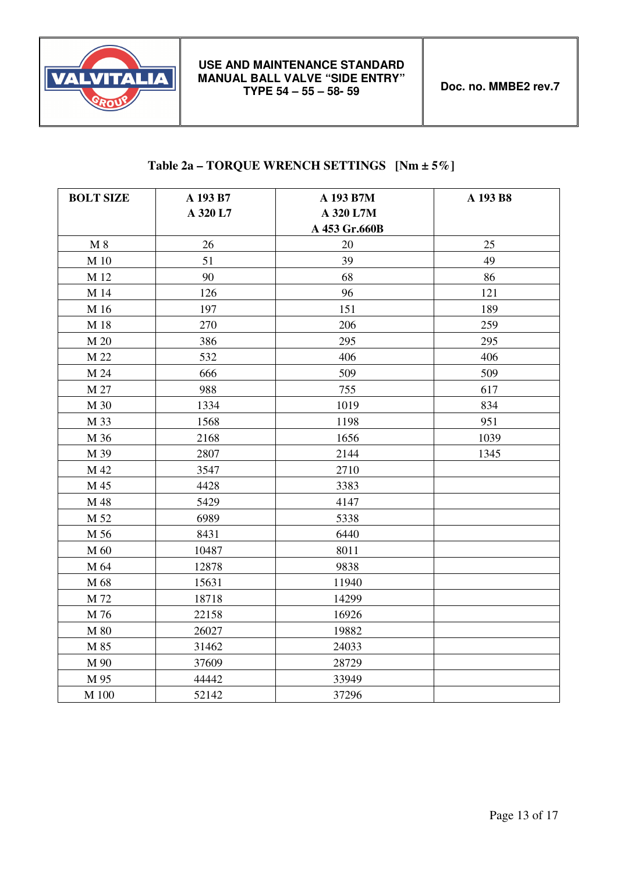

# **Table 2a – TORQUE WRENCH SETTINGS [Nm ± 5%]**

| <b>BOLT SIZE</b> | A 193 B7 | A 193 B7M     | A 193 B8 |
|------------------|----------|---------------|----------|
|                  | A 320 L7 | A 320 L7M     |          |
|                  |          | A 453 Gr.660B |          |
| $M_8$            | 26       | 20            | 25       |
| M 10             | 51       | 39            | 49       |
| M 12             | 90       | 68            | 86       |
| M 14             | 126      | 96            | 121      |
| M 16             | 197      | 151           | 189      |
| M 18             | 270      | 206           | 259      |
| M 20             | 386      | 295           | 295      |
| M 22             | 532      | 406           | 406      |
| M 24             | 666      | 509           | 509      |
| M 27             | 988      | 755           | 617      |
| M 30             | 1334     | 1019          | 834      |
| M 33             | 1568     | 1198          | 951      |
| M 36             | 2168     | 1656          | 1039     |
| M 39             | 2807     | 2144          | 1345     |
| M 42             | 3547     | 2710          |          |
| M 45             | 4428     | 3383          |          |
| M 48             | 5429     | 4147          |          |
| M 52             | 6989     | 5338          |          |
| M 56             | 8431     | 6440          |          |
| M 60             | 10487    | 8011          |          |
| M 64             | 12878    | 9838          |          |
| M 68             | 15631    | 11940         |          |
| M 72             | 18718    | 14299         |          |
| M 76             | 22158    | 16926         |          |
| M 80             | 26027    | 19882         |          |
| M 85             | 31462    | 24033         |          |
| M 90             | 37609    | 28729         |          |
| M 95             | 44442    | 33949         |          |
| M 100            | 52142    | 37296         |          |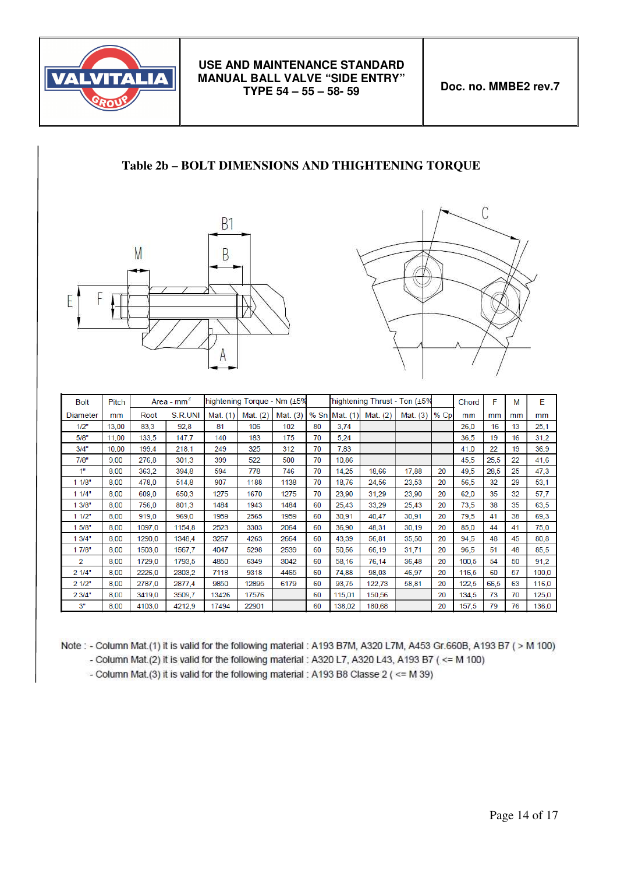

# **Table 2b – BOLT DIMENSIONS AND THIGHTENING TORQUE**





| <b>Bolt</b> | <b>Pitch</b> |        | Area - $mm2$ |          | hightening Torque - Nm (±5% |          |    |               |          | hightening Thrust - Ton (±5% |        | Chord | F    | М  | E     |
|-------------|--------------|--------|--------------|----------|-----------------------------|----------|----|---------------|----------|------------------------------|--------|-------|------|----|-------|
| Diameter    | mm           | Root   | S.R.UNI      | Mat. (1) | Mat. $(2)$                  | Mat. (3) |    | % Sn Mat. (1) | Mat. (2) | Mat. (3)                     | $%$ Cp | mm    | mm   | mm | mm    |
| 1/2"        | 13,00        | 83,3   | 92,8         | 81       | 106                         | 102      | 80 | 3,74          |          |                              |        | 26,0  | 16   | 13 | 25,1  |
| 5/8"        | 11,00        | 133,5  | 147,7        | 140      | 183                         | 175      | 70 | 5,24          |          |                              |        | 36,5  | 19   | 16 | 31,2  |
| 3/4"        | 10,00        | 199.4  | 218,1        | 249      | 325                         | 312      | 70 | 7,83          |          |                              |        | 41,0  | 22   | 19 | 36,9  |
| 7/8"        | 9,00         | 276,8  | 301,3        | 399      | 522                         | 500      | 70 | 10,86         |          |                              |        | 45,5  | 25,5 | 22 | 41,6  |
| 1"          | 8,00         | 363.2  | 394,8        | 594      | 778                         | 746      | 70 | 14,25         | 18,66    | 17,88                        | 20     | 49,5  | 28,5 | 25 | 47,3  |
| 11/8"       | 8,00         | 478,0  | 514,8        | 907      | 1188                        | 1138     | 70 | 18,76         | 24,56    | 23,53                        | 20     | 56,5  | 32   | 29 | 53,1  |
| 11/4"       | 8,00         | 609,0  | 650,3        | 1275     | 1670                        | 1275     | 70 | 23,90         | 31,29    | 23,90                        | 20     | 62,0  | 35   | 32 | 57,7  |
| 1 3/8"      | 8,00         | 756,0  | 801,3        | 1484     | 1943                        | 1484     | 60 | 25,43         | 33,29    | 25,43                        | 20     | 73,5  | 38   | 35 | 63,5  |
| 11/2"       | 8,00         | 919,0  | 969,0        | 1959     | 2565                        | 1959     | 60 | 30,91         | 40.47    | 30,91                        | 20     | 79,5  | 41   | 38 | 69,3  |
| 5/8"        | 8,00         | 1097,0 | 1154,8       | 2523     | 3303                        | 2064     | 60 | 36,90         | 48,31    | 30,19                        | 20     | 85,0  | 44   | 41 | 75,0  |
| 1 3/4"      | 8,00         | 1290.0 | 1348.4       | 3257     | 4263                        | 2664     | 60 | 43.39         | 56,81    | 35,50                        | 20     | 94,5  | 48   | 45 | 80,8  |
| 1 7/8"      | 8,00         | 1503.0 | 1567.7       | 4047     | 5298                        | 2539     | 60 | 50,56         | 66,19    | 31,71                        | 20     | 96,5  | 51   | 48 | 85,5  |
| 2           | 8,00         | 1729,0 | 1793,5       | 4850     | 6349                        | 3042     | 60 | 58,16         | 76,14    | 36,48                        | 20     | 100,5 | 54   | 50 | 91,2  |
| 21/4"       | 8,00         | 2226,0 | 2303,2       | 7118     | 9318                        | 4465     | 60 | 74,88         | 98,03    | 46,97                        | 20     | 116,5 | 60   | 57 | 100,0 |
| 21/2"       | 8,00         | 2787,0 | 2877.4       | 9850     | 12895                       | 6179     | 60 | 93.75         | 122,73   | 58,81                        | 20     | 122,5 | 66,5 | 63 | 116,0 |
| 2 3/4"      | 8,00         | 3419,0 | 3509,7       | 13426    | 17576                       |          | 60 | 115,01        | 150,56   |                              | 20     | 134,5 | 73   | 70 | 125,0 |
| 3"          | 8.00         | 4103.0 | 4212,9       | 17494    | 22901                       |          | 60 | 138,02        | 180,68   |                              | 20     | 157,5 | 79   | 76 | 136,0 |

Note: - Column Mat.(1) it is valid for the following material: A193 B7M, A320 L7M, A453 Gr.660B, A193 B7 (> M 100)

- Column Mat.(2) it is valid for the following material : A320 L7, A320 L43, A193 B7 ( <= M 100)

- Column Mat.(3) it is valid for the following material : A193 B8 Classe 2 ( <= M 39)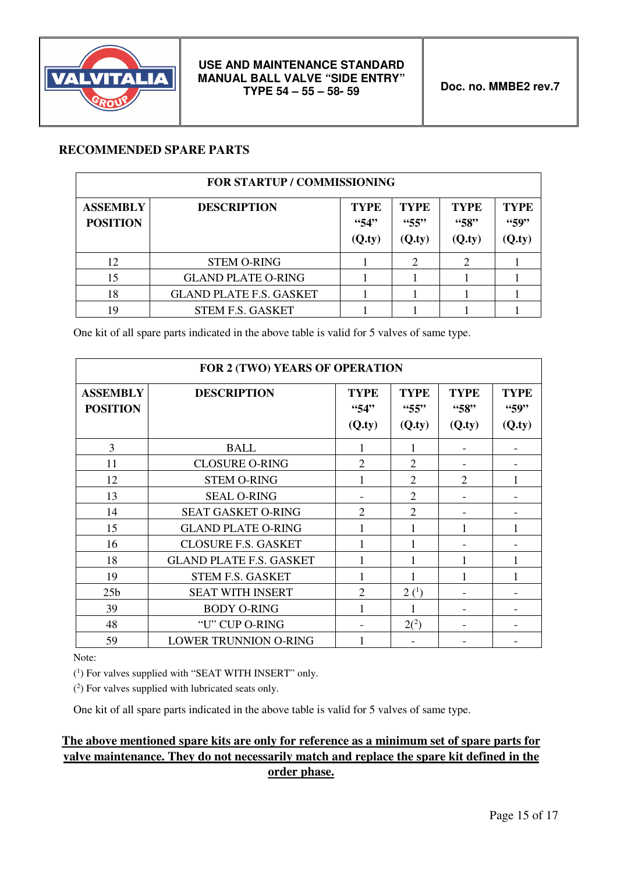

# **RECOMMENDED SPARE PARTS**

| <b>FOR STARTUP / COMMISSIONING</b> |                                |                              |                              |                               |                              |  |
|------------------------------------|--------------------------------|------------------------------|------------------------------|-------------------------------|------------------------------|--|
| <b>ASSEMBLY</b><br><b>POSITION</b> | <b>DESCRIPTION</b>             | <b>TYPE</b><br>434<br>(Q.ty) | <b>TYPE</b><br>55"<br>(Q.ty) | <b>TYPE</b><br>458"<br>(Q.ty) | <b>TYPE</b><br>459<br>(Q.ty) |  |
| 12                                 | <b>STEM O-RING</b>             |                              | $\overline{2}$               |                               |                              |  |
| 15                                 | <b>GLAND PLATE O-RING</b>      |                              |                              |                               |                              |  |
| 18                                 | <b>GLAND PLATE F.S. GASKET</b> |                              |                              |                               |                              |  |
| 19                                 | <b>STEM F.S. GASKET</b>        |                              |                              |                               |                              |  |

One kit of all spare parts indicated in the above table is valid for 5 valves of same type.

| FOR 2 (TWO) YEARS OF OPERATION     |                                |                              |                               |                               |                               |  |
|------------------------------------|--------------------------------|------------------------------|-------------------------------|-------------------------------|-------------------------------|--|
| <b>ASSEMBLY</b><br><b>POSITION</b> | <b>DESCRIPTION</b>             | <b>TYPE</b><br>434<br>(Q.ty) | <b>TYPE</b><br>455"<br>(Q.ty) | <b>TYPE</b><br>458"<br>(Q.ty) | <b>TYPE</b><br>"59"<br>(Q.ty) |  |
| 3                                  | <b>BALL</b>                    | 1                            | 1                             |                               |                               |  |
| 11                                 | <b>CLOSURE O-RING</b>          | $\overline{2}$               | $\overline{2}$                |                               |                               |  |
| 12                                 | <b>STEM O-RING</b>             | 1                            | $\overline{2}$                | 2                             |                               |  |
| 13                                 | <b>SEAL O-RING</b>             |                              | $\overline{2}$                |                               |                               |  |
| 14                                 | <b>SEAT GASKET O-RING</b>      | $\overline{2}$               | $\overline{2}$                |                               |                               |  |
| 15                                 | <b>GLAND PLATE O-RING</b>      |                              | 1                             | 1                             |                               |  |
| 16                                 | <b>CLOSURE F.S. GASKET</b>     |                              |                               |                               |                               |  |
| 18                                 | <b>GLAND PLATE F.S. GASKET</b> |                              | 1                             | 1                             |                               |  |
| 19                                 | <b>STEM F.S. GASKET</b>        | 1                            |                               | 1                             |                               |  |
| 25 <sub>b</sub>                    | <b>SEAT WITH INSERT</b>        | $\overline{2}$               | 2 <sup>(1)</sup>              | $\overline{\phantom{a}}$      |                               |  |
| 39                                 | <b>BODY O-RING</b>             | 1                            | 1                             | $\overline{\phantom{a}}$      |                               |  |
| 48                                 | "U" CUP O-RING                 |                              | $2(^{2})$                     | $\overline{\phantom{a}}$      |                               |  |
| 59                                 | <b>LOWER TRUNNION O-RING</b>   |                              |                               |                               |                               |  |

Note:

( 1 ) For valves supplied with "SEAT WITH INSERT" only.

( 2 ) For valves supplied with lubricated seats only.

One kit of all spare parts indicated in the above table is valid for 5 valves of same type.

# **The above mentioned spare kits are only for reference as a minimum set of spare parts for valve maintenance. They do not necessarily match and replace the spare kit defined in the order phase.**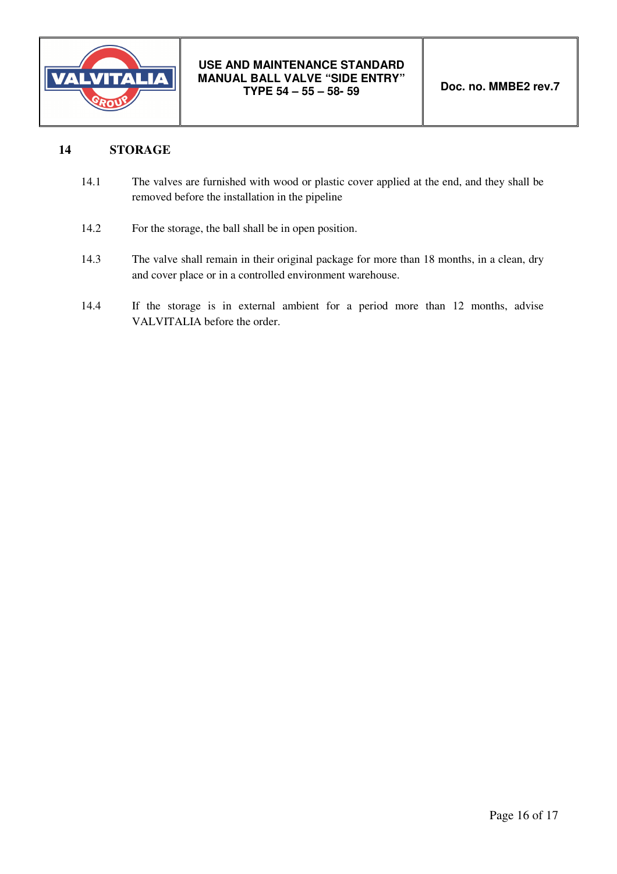

# **14 STORAGE**

- 14.1 The valves are furnished with wood or plastic cover applied at the end, and they shall be removed before the installation in the pipeline
- 14.2 For the storage, the ball shall be in open position.
- 14.3 The valve shall remain in their original package for more than 18 months, in a clean, dry and cover place or in a controlled environment warehouse.
- 14.4 If the storage is in external ambient for a period more than 12 months, advise VALVITALIA before the order.